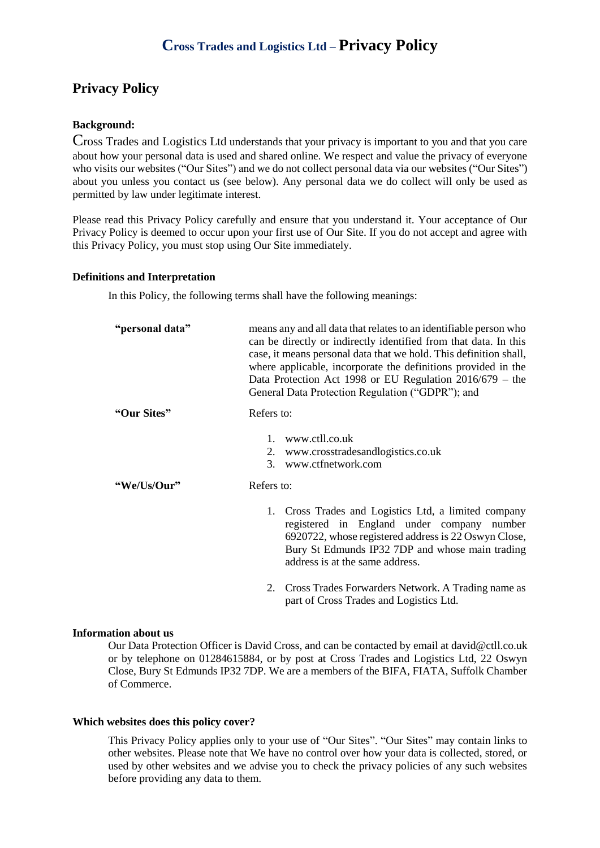# **Cross Trades and Logistics Ltd – Privacy Policy**

## **Privacy Policy**

#### **Background:**

Cross Trades and Logistics Ltd understands that your privacy is important to you and that you care about how your personal data is used and shared online. We respect and value the privacy of everyone who visits our websites ("Our Sites") and we do not collect personal data via our websites ("Our Sites") about you unless you contact us (see below). Any personal data we do collect will only be used as permitted by law under legitimate interest.

Please read this Privacy Policy carefully and ensure that you understand it. Your acceptance of Our Privacy Policy is deemed to occur upon your first use of Our Site. If you do not accept and agree with this Privacy Policy, you must stop using Our Site immediately.

#### **Definitions and Interpretation**

In this Policy, the following terms shall have the following meanings:

| "personal data" | means any and all data that relates to an identifiable person who<br>can be directly or indirectly identified from that data. In this<br>case, it means personal data that we hold. This definition shall,<br>where applicable, incorporate the definitions provided in the<br>Data Protection Act 1998 or EU Regulation $2016/679$ – the<br>General Data Protection Regulation ("GDPR"); and |
|-----------------|-----------------------------------------------------------------------------------------------------------------------------------------------------------------------------------------------------------------------------------------------------------------------------------------------------------------------------------------------------------------------------------------------|
| "Our Sites"     | Refers to:                                                                                                                                                                                                                                                                                                                                                                                    |
|                 | www.ctll.co.uk<br>$\mathbf{1}$ .<br>2. www.crosstradesandlogistics.co.uk<br>3. www.ctfnetwork.com                                                                                                                                                                                                                                                                                             |
| "We/Us/Our"     | Refers to:                                                                                                                                                                                                                                                                                                                                                                                    |
|                 | 1. Cross Trades and Logistics Ltd, a limited company<br>registered in England under company number<br>6920722, whose registered address is 22 Oswyn Close,<br>Bury St Edmunds IP32 7DP and whose main trading<br>address is at the same address.                                                                                                                                              |
|                 | Cross Trades Forwarders Network. A Trading name as<br>2.<br>part of Cross Trades and Logistics Ltd.                                                                                                                                                                                                                                                                                           |

#### **Information about us**

Our Data Protection Officer is David Cross, and can be contacted by email at [david@ctll.co.uk](mailto:david@ctll.co.uk) or by telephone on 01284615884, or by post at Cross Trades and Logistics Ltd, 22 Oswyn Close, Bury St Edmunds IP32 7DP. We are a members of the BIFA, FIATA, Suffolk Chamber of Commerce.

#### **Which websites does this policy cover?**

This Privacy Policy applies only to your use of "Our Sites". "Our Sites" may contain links to other websites. Please note that We have no control over how your data is collected, stored, or used by other websites and we advise you to check the privacy policies of any such websites before providing any data to them.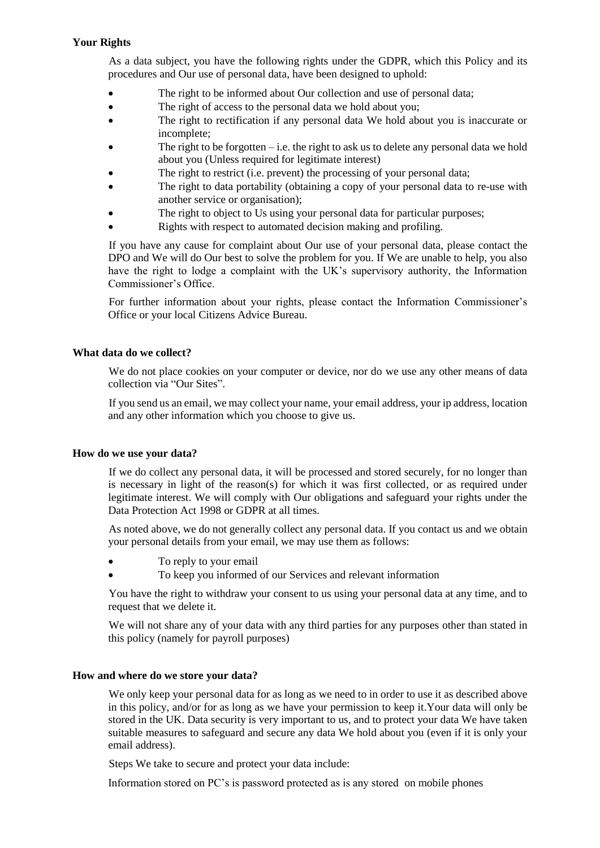### **Your Rights**

As a data subject, you have the following rights under the GDPR, which this Policy and its procedures and Our use of personal data, have been designed to uphold:

- The right to be informed about Our collection and use of personal data;
- The right of access to the personal data we hold about you;
- The right to rectification if any personal data We hold about you is inaccurate or incomplete;
- The right to be forgotten  $-i.e.$  the right to ask us to delete any personal data we hold about you (Unless required for legitimate interest)
- The right to restrict (i.e. prevent) the processing of your personal data;
- The right to data portability (obtaining a copy of your personal data to re-use with another service or organisation);
- The right to object to Us using your personal data for particular purposes;
- Rights with respect to automated decision making and profiling.

If you have any cause for complaint about Our use of your personal data, please contact the DPO and We will do Our best to solve the problem for you. If We are unable to help, you also have the right to lodge a complaint with the UK's supervisory authority, the Information Commissioner's Office.

For further information about your rights, please contact the Information Commissioner's Office or your local Citizens Advice Bureau.

#### **What data do we collect?**

We do not place cookies on your computer or device, nor do we use any other means of data collection via "Our Sites".

If you send us an email, we may collect your name, your email address, your ip address, location and any other information which you choose to give us.

#### **How do we use your data?**

If we do collect any personal data, it will be processed and stored securely, for no longer than is necessary in light of the reason(s) for which it was first collected, or as required under legitimate interest. We will comply with Our obligations and safeguard your rights under the Data Protection Act 1998 or GDPR at all times.

As noted above, we do not generally collect any personal data. If you contact us and we obtain your personal details from your email, we may use them as follows:

- To reply to your email
- To keep you informed of our Services and relevant information

You have the right to withdraw your consent to us using your personal data at any time, and to request that we delete it.

We will not share any of your data with any third parties for any purposes other than stated in this policy (namely for payroll purposes)

#### **How and where do we store your data?**

We only keep your personal data for as long as we need to in order to use it as described above in this policy, and/or for as long as we have your permission to keep it.Your data will only be stored in the UK. Data security is very important to us, and to protect your data We have taken suitable measures to safeguard and secure any data We hold about you (even if it is only your email address).

Steps We take to secure and protect your data include:

Information stored on PC's is password protected as is any stored on mobile phones